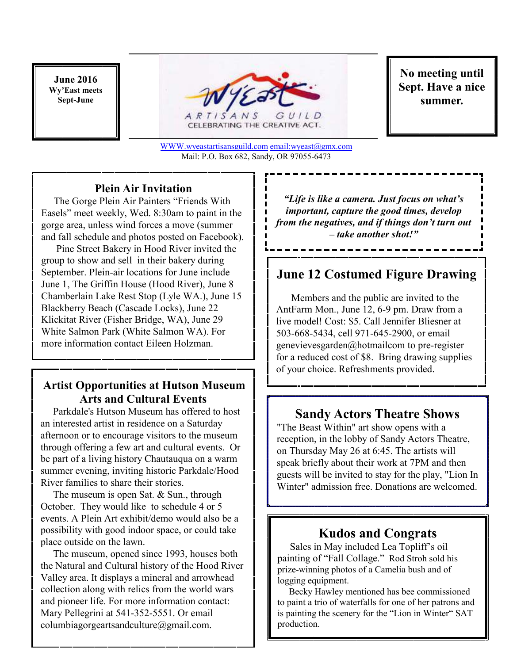**June 2016 Wy'East meets Sept-June** 



CELEBRATING THE CREATIVE ACT.

WWW.wyeastartisansguild.com email:wyeast@gmx.com Mail: P.O. Box 682, Sandy, OR 97055-6473 

**No meeting until Sept. Have a nice summer.** 

### **Plein Air Invitation**

 The Gorge Plein Air Painters "Friends With Easels" meet weekly, Wed. 8:30am to paint in the gorge area, unless wind forces a move (summer and fall schedule and photos posted on Facebook).

 Pine Street Bakery in Hood River invited the group to show and sell in their bakery during September. Plein-air locations for June include June 1, The Griffin House (Hood River), June 8 Chamberlain Lake Rest Stop (Lyle WA.), June 15 Blackberry Beach (Cascade Locks), June 22 Klickitat River (Fisher Bridge, WA), June 29 White Salmon Park (White Salmon WA). For more information contact Eileen Holzman.

## **Artist Opportunities at Hutson Museum Arts and Cultural Events**

 Parkdale's Hutson Museum has offered to host an interested artist in residence on a Saturday afternoon or to encourage visitors to the museum through offering a few art and cultural events. Or be part of a living history Chautauqua on a warm summer evening, inviting historic Parkdale/Hood River families to share their stories.

 The museum is open Sat. & Sun., through October. They would like to schedule 4 or 5 events. A Plein Art exhibit/demo would also be a possibility with good indoor space, or could take place outside on the lawn.

 The museum, opened since 1993, houses both the Natural and Cultural history of the Hood River Valley area. It displays a mineral and arrowhead collection along with relics from the world wars and pioneer life. For more information contact: Mary Pellegrini at 541-352-5551. Or email columbiagorgeartsandculture@gmail.com.

*"Life is like a camera. Just focus on what's important, capture the good times, develop from the negatives, and if things don't turn out – take another shot!"* 

# **June 12 Costumed Figure Drawing**

 Members and the public are invited to the AntFarm Mon., June 12, 6-9 pm. Draw from a live model! Cost: \$5. Call Jennifer Bliesner at 503-668-5434, cell 971-645-2900, or email genevievesgarden@hotmailcom to pre-register for a reduced cost of \$8. Bring drawing supplies of your choice. Refreshments provided.

## **Sandy Actors Theatre Shows**

"The Beast Within" art show opens with a reception, in the lobby of Sandy Actors Theatre, on Thursday May 26 at 6:45. The artists will speak briefly about their work at 7PM and then guests will be invited to stay for the play, "Lion In Winter" admission free. Donations are welcomed.

## **Kudos and Congrats**

 Sales in May included Lea Topliff's oil painting of "Fall Collage." Rod Stroh sold his prize-winning photos of a Camelia bush and of logging equipment.

 Becky Hawley mentioned has bee commissioned to paint a trio of waterfalls for one of her patrons and is painting the scenery for the "Lion in Winter" SAT production.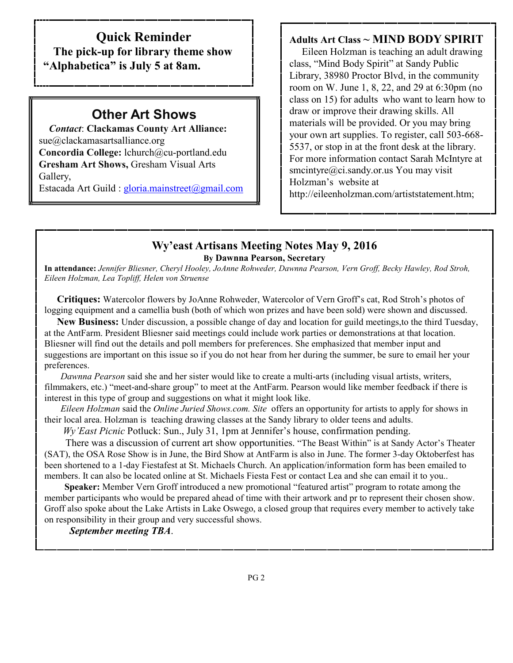## **Quick Reminder**

 **The pick-up for library theme show "Alphabetica" is July 5 at 8am.** 

# **Other Art Shows**

 *Contact*: **Clackamas County Art Alliance:**  sue@clackamasartsalliance.org **Concordia College:** lchurch@cu-portland.edu **Gresham Art Shows,** Gresham Visual Arts Gallery,

Estacada Art Guild : gloria.mainstreet@gmail.com

#### **Adults Art Class ~ MIND BODY SPIRIT**

 Eileen Holzman is teaching an adult drawing class, "Mind Body Spirit" at Sandy Public Library, 38980 Proctor Blvd, in the community room on W. June 1, 8, 22, and 29 at 6:30pm (no class on 15) for adults who want to learn how to draw or improve their drawing skills. All materials will be provided. Or you may bring your own art supplies. To register, call 503-668- 5537, or stop in at the front desk at the library. For more information contact Sarah McIntyre at smcintyre@ci.sandy.or.us You may visit Holzman's website at http://eileenholzman.com/artiststatement.htm;

#### **Wy'east Artisans Meeting Notes May 9, 2016 By Dawnna Pearson, Secretary**

**In attendance:** *Jennifer Bliesner, Cheryl Hooley, JoAnne Rohweder, Dawnna Pearson, Vern Groff, Becky Hawley, Rod Stroh, Eileen Holzman, Lea Topliff, Helen von Struense* 

 **Critiques:** Watercolor flowers by JoAnne Rohweder, Watercolor of Vern Groff's cat, Rod Stroh's photos of logging equipment and a camellia bush (both of which won prizes and have been sold) were shown and discussed.

 **New Business:** Under discussion, a possible change of day and location for guild meetings,to the third Tuesday, at the AntFarm. President Bliesner said meetings could include work parties or demonstrations at that location. Bliesner will find out the details and poll members for preferences. She emphasized that member input and suggestions are important on this issue so if you do not hear from her during the summer, be sure to email her your preferences.

 *Dawnna Pearson* said she and her sister would like to create a multi-arts (including visual artists, writers, filmmakers, etc.) "meet-and-share group" to meet at the AntFarm. Pearson would like member feedback if there is interest in this type of group and suggestions on what it might look like.

 *Eileen Holzman* said the *Online Juried Shows.com. Site* offers an opportunity for artists to apply for shows in their local area. Holzman is teaching drawing classes at the Sandy library to older teens and adults.

*Wy'East Picnic* Potluck: Sun., July 31, 1pm at Jennifer's house, confirmation pending.

 There was a discussion of current art show opportunities. "The Beast Within" is at Sandy Actor's Theater (SAT), the OSA Rose Show is in June, the Bird Show at AntFarm is also in June. The former 3-day Oktoberfest has been shortened to a 1-day Fiestafest at St. Michaels Church. An application/information form has been emailed to members. It can also be located online at St. Michaels Fiesta Fest or contact Lea and she can email it to you..

 **Speaker:** Member Vern Groff introduced a new promotional "featured artist" program to rotate among the member participants who would be prepared ahead of time with their artwork and pr to represent their chosen show. Groff also spoke about the Lake Artists in Lake Oswego, a closed group that requires every member to actively take on responsibility in their group and very successful shows.

*September meeting TBA*.